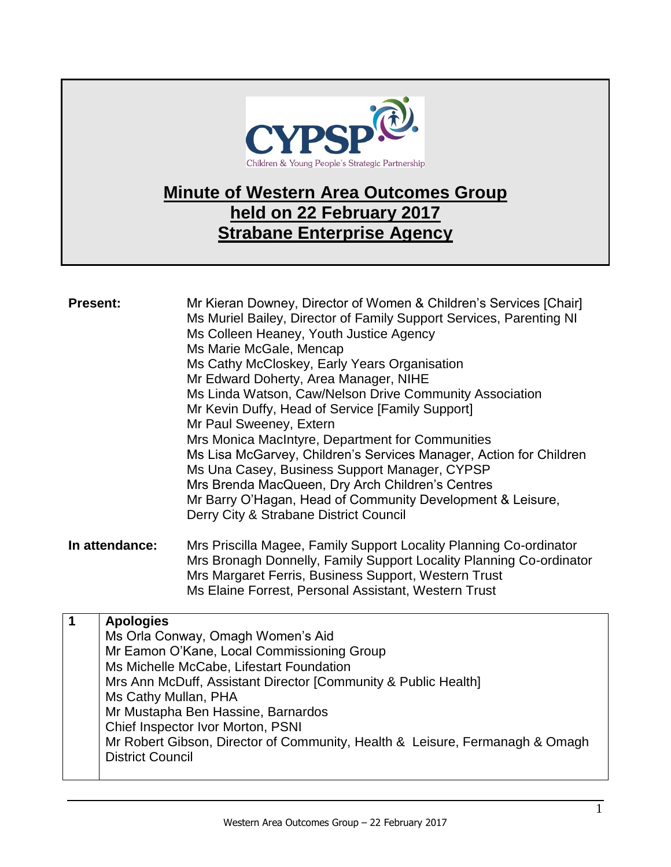

## **Minute of Western Area Outcomes Group held on 22 February 2017 Strabane Enterprise Agency**

| <b>Present:</b> |                         | Mr Kieran Downey, Director of Women & Children's Services [Chair]<br>Ms Muriel Bailey, Director of Family Support Services, Parenting NI<br>Ms Colleen Heaney, Youth Justice Agency<br>Ms Marie McGale, Mencap<br>Ms Cathy McCloskey, Early Years Organisation<br>Mr Edward Doherty, Area Manager, NIHE<br>Ms Linda Watson, Caw/Nelson Drive Community Association<br>Mr Kevin Duffy, Head of Service [Family Support]<br>Mr Paul Sweeney, Extern<br>Mrs Monica MacIntyre, Department for Communities<br>Ms Lisa McGarvey, Children's Services Manager, Action for Children<br>Ms Una Casey, Business Support Manager, CYPSP<br>Mrs Brenda MacQueen, Dry Arch Children's Centres<br>Mr Barry O'Hagan, Head of Community Development & Leisure,<br>Derry City & Strabane District Council |
|-----------------|-------------------------|------------------------------------------------------------------------------------------------------------------------------------------------------------------------------------------------------------------------------------------------------------------------------------------------------------------------------------------------------------------------------------------------------------------------------------------------------------------------------------------------------------------------------------------------------------------------------------------------------------------------------------------------------------------------------------------------------------------------------------------------------------------------------------------|
| In attendance:  |                         | Mrs Priscilla Magee, Family Support Locality Planning Co-ordinator<br>Mrs Bronagh Donnelly, Family Support Locality Planning Co-ordinator<br>Mrs Margaret Ferris, Business Support, Western Trust<br>Ms Elaine Forrest, Personal Assistant, Western Trust                                                                                                                                                                                                                                                                                                                                                                                                                                                                                                                                |
| $\mathbf 1$     | <b>Apologies</b>        |                                                                                                                                                                                                                                                                                                                                                                                                                                                                                                                                                                                                                                                                                                                                                                                          |
|                 |                         | Ms Orla Conway, Omagh Women's Aid<br>Mr Eamon O'Kane, Local Commissioning Group                                                                                                                                                                                                                                                                                                                                                                                                                                                                                                                                                                                                                                                                                                          |
|                 |                         | Ms Michelle McCabe, Lifestart Foundation                                                                                                                                                                                                                                                                                                                                                                                                                                                                                                                                                                                                                                                                                                                                                 |
|                 |                         | Mrs Ann McDuff, Assistant Director [Community & Public Health]                                                                                                                                                                                                                                                                                                                                                                                                                                                                                                                                                                                                                                                                                                                           |
|                 | Ms Cathy Mullan, PHA    |                                                                                                                                                                                                                                                                                                                                                                                                                                                                                                                                                                                                                                                                                                                                                                                          |
|                 |                         | Mr Mustapha Ben Hassine, Barnardos                                                                                                                                                                                                                                                                                                                                                                                                                                                                                                                                                                                                                                                                                                                                                       |
|                 |                         | Chief Inspector Ivor Morton, PSNI                                                                                                                                                                                                                                                                                                                                                                                                                                                                                                                                                                                                                                                                                                                                                        |
|                 |                         | Mr Robert Gibson, Director of Community, Health & Leisure, Fermanagh & Omagh                                                                                                                                                                                                                                                                                                                                                                                                                                                                                                                                                                                                                                                                                                             |
|                 | <b>District Council</b> |                                                                                                                                                                                                                                                                                                                                                                                                                                                                                                                                                                                                                                                                                                                                                                                          |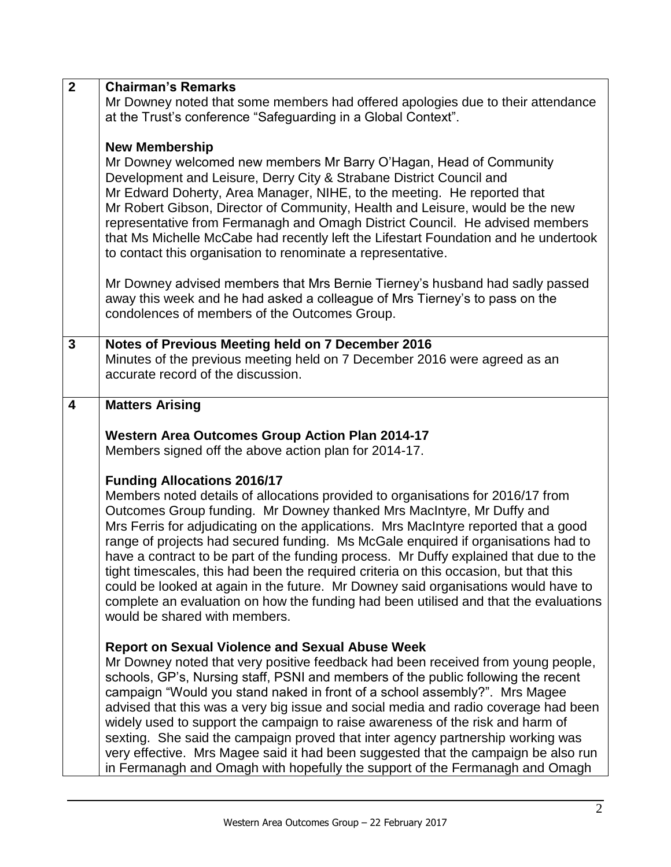| $\overline{2}$ | <b>Chairman's Remarks</b><br>Mr Downey noted that some members had offered apologies due to their attendance<br>at the Trust's conference "Safeguarding in a Global Context".                                                                                                                                                                                                                                                                                                                                                                                                                                                                                                                                                                                               |
|----------------|-----------------------------------------------------------------------------------------------------------------------------------------------------------------------------------------------------------------------------------------------------------------------------------------------------------------------------------------------------------------------------------------------------------------------------------------------------------------------------------------------------------------------------------------------------------------------------------------------------------------------------------------------------------------------------------------------------------------------------------------------------------------------------|
|                | <b>New Membership</b><br>Mr Downey welcomed new members Mr Barry O'Hagan, Head of Community<br>Development and Leisure, Derry City & Strabane District Council and<br>Mr Edward Doherty, Area Manager, NIHE, to the meeting. He reported that<br>Mr Robert Gibson, Director of Community, Health and Leisure, would be the new<br>representative from Fermanagh and Omagh District Council. He advised members<br>that Ms Michelle McCabe had recently left the Lifestart Foundation and he undertook<br>to contact this organisation to renominate a representative.                                                                                                                                                                                                       |
|                | Mr Downey advised members that Mrs Bernie Tierney's husband had sadly passed<br>away this week and he had asked a colleague of Mrs Tierney's to pass on the<br>condolences of members of the Outcomes Group.                                                                                                                                                                                                                                                                                                                                                                                                                                                                                                                                                                |
| $\mathbf{3}$   | Notes of Previous Meeting held on 7 December 2016<br>Minutes of the previous meeting held on 7 December 2016 were agreed as an<br>accurate record of the discussion.                                                                                                                                                                                                                                                                                                                                                                                                                                                                                                                                                                                                        |
| 4              | <b>Matters Arising</b>                                                                                                                                                                                                                                                                                                                                                                                                                                                                                                                                                                                                                                                                                                                                                      |
|                | <b>Western Area Outcomes Group Action Plan 2014-17</b><br>Members signed off the above action plan for 2014-17.                                                                                                                                                                                                                                                                                                                                                                                                                                                                                                                                                                                                                                                             |
|                | <b>Funding Allocations 2016/17</b><br>Members noted details of allocations provided to organisations for 2016/17 from<br>Outcomes Group funding. Mr Downey thanked Mrs MacIntyre, Mr Duffy and<br>Mrs Ferris for adjudicating on the applications. Mrs MacIntyre reported that a good<br>range of projects had secured funding. Ms McGale enquired if organisations had to<br>have a contract to be part of the funding process. Mr Duffy explained that due to the<br>tight timescales, this had been the required criteria on this occasion, but that this<br>could be looked at again in the future. Mr Downey said organisations would have to<br>complete an evaluation on how the funding had been utilised and that the evaluations<br>would be shared with members. |
|                | <b>Report on Sexual Violence and Sexual Abuse Week</b><br>Mr Downey noted that very positive feedback had been received from young people,<br>schools, GP's, Nursing staff, PSNI and members of the public following the recent<br>campaign "Would you stand naked in front of a school assembly?". Mrs Magee<br>advised that this was a very big issue and social media and radio coverage had been<br>widely used to support the campaign to raise awareness of the risk and harm of<br>sexting. She said the campaign proved that inter agency partnership working was<br>very effective. Mrs Magee said it had been suggested that the campaign be also run<br>in Fermanagh and Omagh with hopefully the support of the Fermanagh and Omagh                             |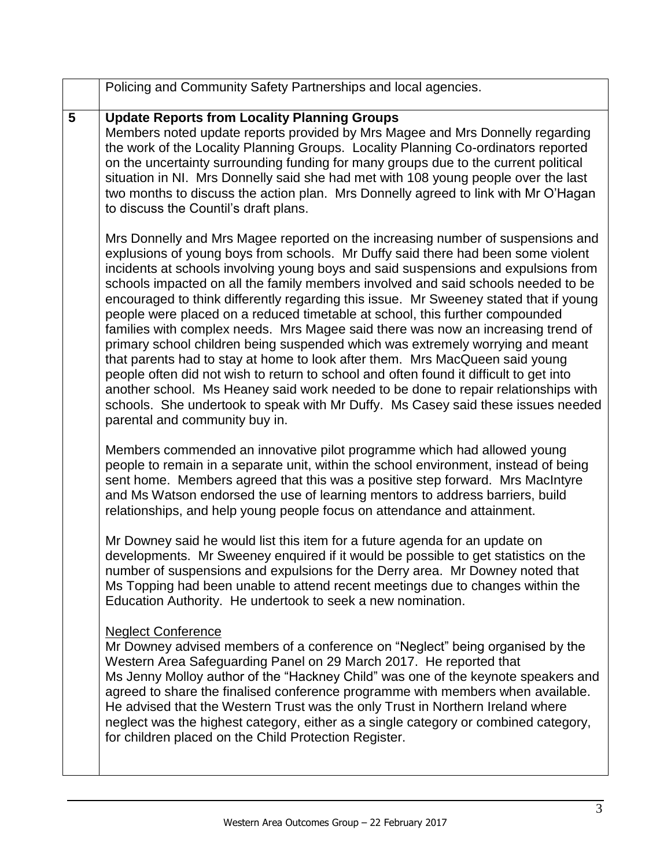|   | Policing and Community Safety Partnerships and local agencies.                                                                                                                                                                                                                                                                                                                                                                                                                                                                                                                                                                                                                                                                                                                                                                                                                                                                                                                                                                                                                      |
|---|-------------------------------------------------------------------------------------------------------------------------------------------------------------------------------------------------------------------------------------------------------------------------------------------------------------------------------------------------------------------------------------------------------------------------------------------------------------------------------------------------------------------------------------------------------------------------------------------------------------------------------------------------------------------------------------------------------------------------------------------------------------------------------------------------------------------------------------------------------------------------------------------------------------------------------------------------------------------------------------------------------------------------------------------------------------------------------------|
| 5 | <b>Update Reports from Locality Planning Groups</b><br>Members noted update reports provided by Mrs Magee and Mrs Donnelly regarding<br>the work of the Locality Planning Groups. Locality Planning Co-ordinators reported<br>on the uncertainty surrounding funding for many groups due to the current political<br>situation in NI. Mrs Donnelly said she had met with 108 young people over the last<br>two months to discuss the action plan. Mrs Donnelly agreed to link with Mr O'Hagan<br>to discuss the Countil's draft plans.                                                                                                                                                                                                                                                                                                                                                                                                                                                                                                                                              |
|   | Mrs Donnelly and Mrs Magee reported on the increasing number of suspensions and<br>explusions of young boys from schools. Mr Duffy said there had been some violent<br>incidents at schools involving young boys and said suspensions and expulsions from<br>schools impacted on all the family members involved and said schools needed to be<br>encouraged to think differently regarding this issue. Mr Sweeney stated that if young<br>people were placed on a reduced timetable at school, this further compounded<br>families with complex needs. Mrs Magee said there was now an increasing trend of<br>primary school children being suspended which was extremely worrying and meant<br>that parents had to stay at home to look after them. Mrs MacQueen said young<br>people often did not wish to return to school and often found it difficult to get into<br>another school. Ms Heaney said work needed to be done to repair relationships with<br>schools. She undertook to speak with Mr Duffy. Ms Casey said these issues needed<br>parental and community buy in. |
|   | Members commended an innovative pilot programme which had allowed young<br>people to remain in a separate unit, within the school environment, instead of being<br>sent home. Members agreed that this was a positive step forward. Mrs MacIntyre<br>and Ms Watson endorsed the use of learning mentors to address barriers, build<br>relationships, and help young people focus on attendance and attainment.                                                                                                                                                                                                                                                                                                                                                                                                                                                                                                                                                                                                                                                                      |
|   | Mr Downey said he would list this item for a future agenda for an update on<br>developments. Mr Sweeney enquired if it would be possible to get statistics on the<br>number of suspensions and expulsions for the Derry area. Mr Downey noted that<br>Ms Topping had been unable to attend recent meetings due to changes within the<br>Education Authority. He undertook to seek a new nomination.                                                                                                                                                                                                                                                                                                                                                                                                                                                                                                                                                                                                                                                                                 |
|   | <b>Neglect Conference</b><br>Mr Downey advised members of a conference on "Neglect" being organised by the<br>Western Area Safeguarding Panel on 29 March 2017. He reported that<br>Ms Jenny Molloy author of the "Hackney Child" was one of the keynote speakers and<br>agreed to share the finalised conference programme with members when available.<br>He advised that the Western Trust was the only Trust in Northern Ireland where<br>neglect was the highest category, either as a single category or combined category,<br>for children placed on the Child Protection Register.                                                                                                                                                                                                                                                                                                                                                                                                                                                                                          |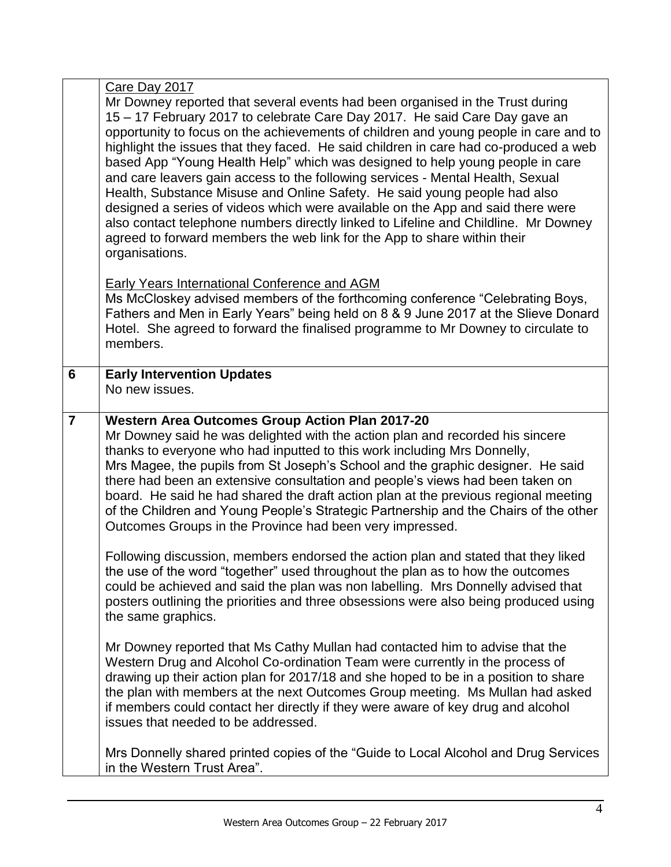|                | Care Day 2017<br>Mr Downey reported that several events had been organised in the Trust during<br>15 – 17 February 2017 to celebrate Care Day 2017. He said Care Day gave an<br>opportunity to focus on the achievements of children and young people in care and to<br>highlight the issues that they faced. He said children in care had co-produced a web<br>based App "Young Health Help" which was designed to help young people in care<br>and care leavers gain access to the following services - Mental Health, Sexual<br>Health, Substance Misuse and Online Safety. He said young people had also<br>designed a series of videos which were available on the App and said there were<br>also contact telephone numbers directly linked to Lifeline and Childline. Mr Downey<br>agreed to forward members the web link for the App to share within their<br>organisations. |
|----------------|--------------------------------------------------------------------------------------------------------------------------------------------------------------------------------------------------------------------------------------------------------------------------------------------------------------------------------------------------------------------------------------------------------------------------------------------------------------------------------------------------------------------------------------------------------------------------------------------------------------------------------------------------------------------------------------------------------------------------------------------------------------------------------------------------------------------------------------------------------------------------------------|
|                | <b>Early Years International Conference and AGM</b><br>Ms McCloskey advised members of the forthcoming conference "Celebrating Boys,<br>Fathers and Men in Early Years" being held on 8 & 9 June 2017 at the Slieve Donard<br>Hotel. She agreed to forward the finalised programme to Mr Downey to circulate to<br>members.                                                                                                                                                                                                                                                                                                                                                                                                                                                                                                                                                          |
| 6              | <b>Early Intervention Updates</b><br>No new issues.                                                                                                                                                                                                                                                                                                                                                                                                                                                                                                                                                                                                                                                                                                                                                                                                                                  |
| $\overline{7}$ | <b>Western Area Outcomes Group Action Plan 2017-20</b><br>Mr Downey said he was delighted with the action plan and recorded his sincere<br>thanks to everyone who had inputted to this work including Mrs Donnelly,<br>Mrs Magee, the pupils from St Joseph's School and the graphic designer. He said<br>there had been an extensive consultation and people's views had been taken on<br>board. He said he had shared the draft action plan at the previous regional meeting<br>of the Children and Young People's Strategic Partnership and the Chairs of the other<br>Outcomes Groups in the Province had been very impressed.                                                                                                                                                                                                                                                   |
|                | Following discussion, members endorsed the action plan and stated that they liked<br>the use of the word "together" used throughout the plan as to how the outcomes<br>could be achieved and said the plan was non labelling. Mrs Donnelly advised that<br>posters outlining the priorities and three obsessions were also being produced using<br>the same graphics.                                                                                                                                                                                                                                                                                                                                                                                                                                                                                                                |
|                | Mr Downey reported that Ms Cathy Mullan had contacted him to advise that the<br>Western Drug and Alcohol Co-ordination Team were currently in the process of<br>drawing up their action plan for 2017/18 and she hoped to be in a position to share<br>the plan with members at the next Outcomes Group meeting. Ms Mullan had asked<br>if members could contact her directly if they were aware of key drug and alcohol<br>issues that needed to be addressed.                                                                                                                                                                                                                                                                                                                                                                                                                      |
|                | Mrs Donnelly shared printed copies of the "Guide to Local Alcohol and Drug Services"<br>in the Western Trust Area".                                                                                                                                                                                                                                                                                                                                                                                                                                                                                                                                                                                                                                                                                                                                                                  |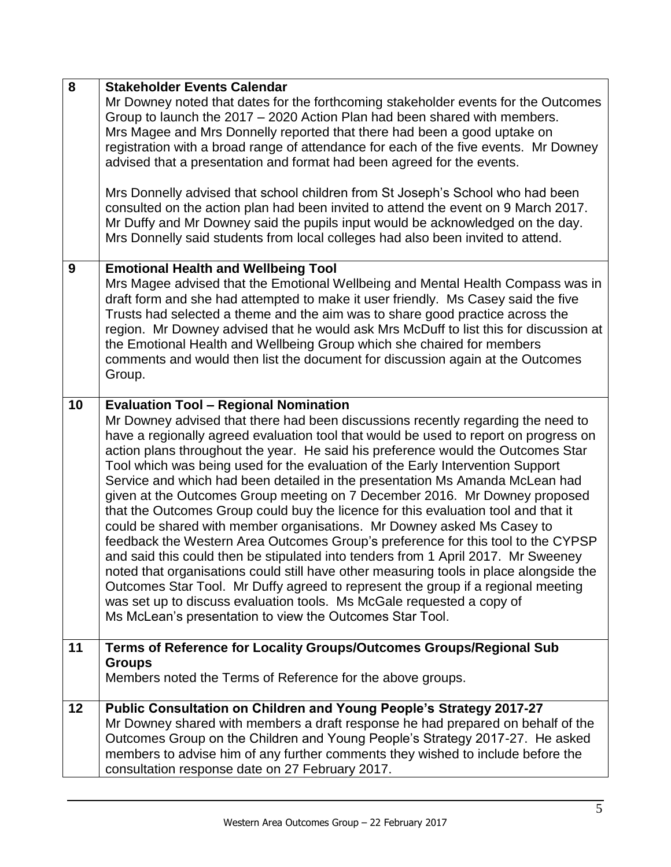| 8  | <b>Stakeholder Events Calendar</b><br>Mr Downey noted that dates for the forthcoming stakeholder events for the Outcomes<br>Group to launch the 2017 – 2020 Action Plan had been shared with members.<br>Mrs Magee and Mrs Donnelly reported that there had been a good uptake on<br>registration with a broad range of attendance for each of the five events. Mr Downey<br>advised that a presentation and format had been agreed for the events.<br>Mrs Donnelly advised that school children from St Joseph's School who had been<br>consulted on the action plan had been invited to attend the event on 9 March 2017.<br>Mr Duffy and Mr Downey said the pupils input would be acknowledged on the day.<br>Mrs Donnelly said students from local colleges had also been invited to attend.                                                                                                                                                                                                                                                                                                                                                                                                                         |
|----|--------------------------------------------------------------------------------------------------------------------------------------------------------------------------------------------------------------------------------------------------------------------------------------------------------------------------------------------------------------------------------------------------------------------------------------------------------------------------------------------------------------------------------------------------------------------------------------------------------------------------------------------------------------------------------------------------------------------------------------------------------------------------------------------------------------------------------------------------------------------------------------------------------------------------------------------------------------------------------------------------------------------------------------------------------------------------------------------------------------------------------------------------------------------------------------------------------------------------|
| 9  | <b>Emotional Health and Wellbeing Tool</b><br>Mrs Magee advised that the Emotional Wellbeing and Mental Health Compass was in<br>draft form and she had attempted to make it user friendly. Ms Casey said the five<br>Trusts had selected a theme and the aim was to share good practice across the<br>region. Mr Downey advised that he would ask Mrs McDuff to list this for discussion at<br>the Emotional Health and Wellbeing Group which she chaired for members<br>comments and would then list the document for discussion again at the Outcomes<br>Group.                                                                                                                                                                                                                                                                                                                                                                                                                                                                                                                                                                                                                                                       |
| 10 | <b>Evaluation Tool - Regional Nomination</b><br>Mr Downey advised that there had been discussions recently regarding the need to<br>have a regionally agreed evaluation tool that would be used to report on progress on<br>action plans throughout the year. He said his preference would the Outcomes Star<br>Tool which was being used for the evaluation of the Early Intervention Support<br>Service and which had been detailed in the presentation Ms Amanda McLean had<br>given at the Outcomes Group meeting on 7 December 2016. Mr Downey proposed<br>that the Outcomes Group could buy the licence for this evaluation tool and that it<br>could be shared with member organisations. Mr Downey asked Ms Casey to<br>feedback the Western Area Outcomes Group's preference for this tool to the CYPSP<br>and said this could then be stipulated into tenders from 1 April 2017. Mr Sweeney<br>noted that organisations could still have other measuring tools in place alongside the<br>Outcomes Star Tool. Mr Duffy agreed to represent the group if a regional meeting<br>was set up to discuss evaluation tools. Ms McGale requested a copy of<br>Ms McLean's presentation to view the Outcomes Star Tool. |
| 11 | Terms of Reference for Locality Groups/Outcomes Groups/Regional Sub<br><b>Groups</b><br>Members noted the Terms of Reference for the above groups.                                                                                                                                                                                                                                                                                                                                                                                                                                                                                                                                                                                                                                                                                                                                                                                                                                                                                                                                                                                                                                                                       |
| 12 | Public Consultation on Children and Young People's Strategy 2017-27<br>Mr Downey shared with members a draft response he had prepared on behalf of the<br>Outcomes Group on the Children and Young People's Strategy 2017-27. He asked<br>members to advise him of any further comments they wished to include before the<br>consultation response date on 27 February 2017.                                                                                                                                                                                                                                                                                                                                                                                                                                                                                                                                                                                                                                                                                                                                                                                                                                             |